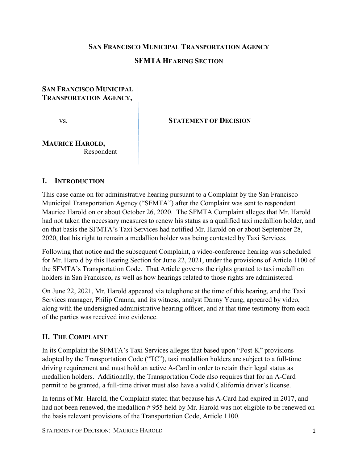#### **SAN FRANCISCO MUNICIPAL TRANSPORTATION AGENCY**

### **SFMTA HEARING SECTION**

#### **SAN FRANCISCO MUNICIPAL TRANSPORTATION AGENCY,**

vs. **STATEMENT OF DECISION**

### **MAURICE HAROLD,** Respondent

 $\overline{\phantom{a}}$  , which is a set of the set of the set of the set of the set of the set of the set of the set of the set of the set of the set of the set of the set of the set of the set of the set of the set of the set of th

#### **I. INTRODUCTION**

This case came on for administrative hearing pursuant to a Complaint by the San Francisco Municipal Transportation Agency ("SFMTA") after the Complaint was sent to respondent Maurice Harold on or about October 26, 2020. The SFMTA Complaint alleges that Mr. Harold had not taken the necessary measures to renew his status as a qualified taxi medallion holder, and on that basis the SFMTA's Taxi Services had notified Mr. Harold on or about September 28, 2020, that his right to remain a medallion holder was being contested by Taxi Services.

Following that notice and the subsequent Complaint, a video-conference hearing was scheduled for Mr. Harold by this Hearing Section for June 22, 2021, under the provisions of Article 1100 of the SFMTA's Transportation Code. That Article governs the rights granted to taxi medallion holders in San Francisco, as well as how hearings related to those rights are administered.

On June 22, 2021, Mr. Harold appeared via telephone at the time of this hearing, and the Taxi Services manager, Philip Cranna, and its witness, analyst Danny Yeung, appeared by video, along with the undersigned administrative hearing officer, and at that time testimony from each of the parties was received into evidence.

### **II. THE COMPLAINT**

In its Complaint the SFMTA's Taxi Services alleges that based upon "Post-K" provisions adopted by the Transportation Code ("TC"), taxi medallion holders are subject to a full-time driving requirement and must hold an active A-Card in order to retain their legal status as medallion holders. Additionally, the Transportation Code also requires that for an A-Card permit to be granted, a full-time driver must also have a valid California driver's license.

In terms of Mr. Harold, the Complaint stated that because his A-Card had expired in 2017, and had not been renewed, the medallion #955 held by Mr. Harold was not eligible to be renewed on the basis relevant provisions of the Transportation Code, Article 1100.

STATEMENT OF DECISION: MAURICE HAROLD 1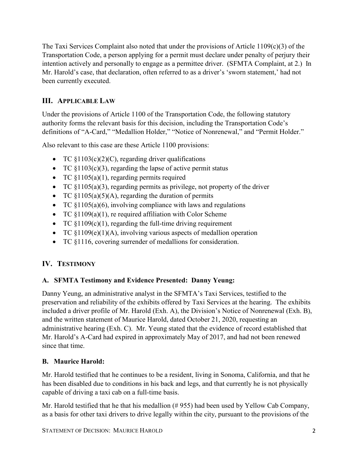The Taxi Services Complaint also noted that under the provisions of Article  $1109(c)(3)$  of the Transportation Code, a person applying for a permit must declare under penalty of perjury their intention actively and personally to engage as a permittee driver. (SFMTA Complaint, at 2.) In Mr. Harold's case, that declaration, often referred to as a driver's 'sworn statement,' had not been currently executed.

# **III. APPLICABLE LAW**

Under the provisions of Article 1100 of the Transportation Code, the following statutory authority forms the relevant basis for this decision, including the Transportation Code's definitions of "A-Card," "Medallion Holder," "Notice of Nonrenewal," and "Permit Holder."

Also relevant to this case are these Article 1100 provisions:

- TC  $$1103(c)(2)(C)$ , regarding driver qualifications
- TC  $\S1103(c)(3)$ , regarding the lapse of active permit status
- TC  $$1105(a)(1)$ , regarding permits required
- TC  $$1105(a)(3)$ , regarding permits as privilege, not property of the driver
- TC  $\S1105(a)(5)(A)$ , regarding the duration of permits
- TC  $$1105(a)(6)$ , involving compliance with laws and regulations
- TC §1109(a)(1), re required affiliation with Color Scheme
- TC  $§1109(c)(1)$ , regarding the full-time driving requirement
- TC §1109(e)(1)(A), involving various aspects of medallion operation
- TC §1116, covering surrender of medallions for consideration.

# **IV. TESTIMONY**

## **A. SFMTA Testimony and Evidence Presented: Danny Yeung:**

Danny Yeung, an administrative analyst in the SFMTA's Taxi Services, testified to the preservation and reliability of the exhibits offered by Taxi Services at the hearing. The exhibits included a driver profile of Mr. Harold (Exh. A), the Division's Notice of Nonrenewal (Exh. B), and the written statement of Maurice Harold, dated October 21, 2020, requesting an administrative hearing (Exh. C). Mr. Yeung stated that the evidence of record established that Mr. Harold's A-Card had expired in approximately May of 2017, and had not been renewed since that time.

## **B. Maurice Harold:**

Mr. Harold testified that he continues to be a resident, living in Sonoma, California, and that he has been disabled due to conditions in his back and legs, and that currently he is not physically capable of driving a taxi cab on a full-time basis.

Mr. Harold testified that he that his medallion (# 955) had been used by Yellow Cab Company, as a basis for other taxi drivers to drive legally within the city, pursuant to the provisions of the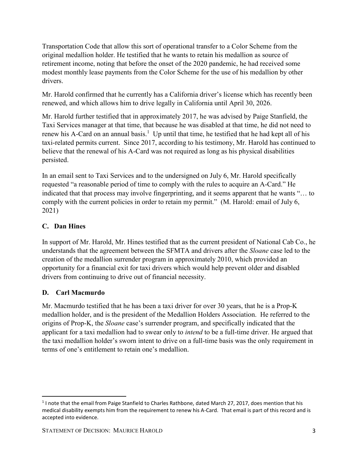Transportation Code that allow this sort of operational transfer to a Color Scheme from the original medallion holder. He testified that he wants to retain his medallion as source of retirement income, noting that before the onset of the 2020 pandemic, he had received some modest monthly lease payments from the Color Scheme for the use of his medallion by other drivers.

Mr. Harold confirmed that he currently has a California driver's license which has recently been renewed, and which allows him to drive legally in California until April 30, 2026.

Mr. Harold further testified that in approximately 2017, he was advised by Paige Stanfield, the Taxi Services manager at that time, that because he was disabled at that time, he did not need to renew his A-Card on an annual basis.<sup>1</sup> Up until that time, he testified that he had kept all of his taxi-related permits current. Since 2017, according to his testimony, Mr. Harold has continued to believe that the renewal of his A-Card was not required as long as his physical disabilities persisted.

In an email sent to Taxi Services and to the undersigned on July 6, Mr. Harold specifically requested "a reasonable period of time to comply with the rules to acquire an A-Card." He indicated that that process may involve fingerprinting, and it seems apparent that he wants "… to comply with the current policies in order to retain my permit." (M. Harold: email of July 6, 2021)

## **C. Dan Hines**

In support of Mr. Harold, Mr. Hines testified that as the current president of National Cab Co., he understands that the agreement between the SFMTA and drivers after the *Sloane* case led to the creation of the medallion surrender program in approximately 2010, which provided an opportunity for a financial exit for taxi drivers which would help prevent older and disabled drivers from continuing to drive out of financial necessity.

### **D. Carl Macmurdo**

Mr. Macmurdo testified that he has been a taxi driver for over 30 years, that he is a Prop-K medallion holder, and is the president of the Medallion Holders Association. He referred to the origins of Prop-K, the *Sloane* case's surrender program, and specifically indicated that the applicant for a taxi medallion had to swear only to *intend* to be a full-time driver. He argued that the taxi medallion holder's sworn intent to drive on a full-time basis was the only requirement in terms of one's entitlement to retain one's medallion.

<sup>&</sup>lt;sup>1</sup> I note that the email from Paige Stanfield to Charles Rathbone, dated March 27, 2017, does mention that his medical disability exempts him from the requirement to renew his A-Card. That email is part of this record and is accepted into evidence.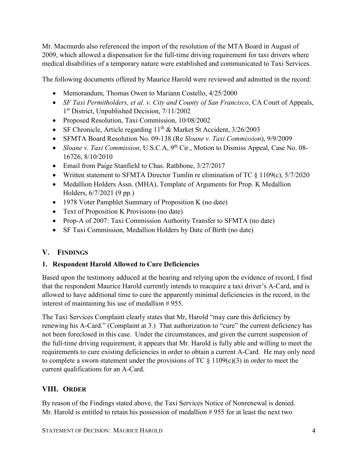Mr. Macmurdo also referenced the import of the resolution of the MTA Board in August of 2009, which allowed a dispensation for the full-time driving requirement for taxi drivers where medical disabilities of a temporary nature were established and communicated to Taxi Services.

The following documents offered by Maurice Harold were reviewed and admitted in the record:

- Memorandum, Thomas Owen to Mariann Costello, 4/25/2000
- *SF Taxi Permitholders, et al. v. City and County of San Francisco, CA Court of Appeals,* 1st District, Unpublished Decision, 7/11/2002
- Proposed Resolution, Taxi Commission, 10/08/2002
- SF Chronicle, Article regarding  $11^{th}$  & Market St Accident,  $3/26/2003$
- SFMTA Board Resolution No. 09-138 (Re *Sloane v. Taxi Commission*), 9/9/2009
- *Sloane v. Taxi Commission*, U.S.C.A, 9th Cir., Motion to Dismiss Appeal, Case No. 08- 16726, 8/10/2010
- Email from Paige Stanfield to Chas. Rathbone, 3/27/2017
- Written statement to SFMTA Director Tumlin re elimination of TC  $\S$  1109(c), 5/7/2020
- Medallion Holders Assn. (MHA), Template of Arguments for Prop. K Medallion Holders, 6/7/2021 (9 pp.)
- 1978 Voter Pamphlet Summary of Proposition K (no date)
- Text of Proposition K Provisions (no date)
- Prop-A of 2007: Taxi Commission Authority Transfer to SFMTA (no date)
- SF Taxi Commission, Medallion Holders by Date of Birth (no date)

# **V. FINDINGS**

## **1. Respondent Harold Allowed to Cure Deficiencies**

Based upon the testimony adduced at the hearing and relying upon the evidence of record, I find that the respondent Maurice Harold currently intends to reacquire a taxi driver's A-Card, and is allowed to have additional time to cure the apparently minimal deficiencies in the record, in the interest of maintaining his use of medallion #955.

The Taxi Services Complaint clearly states that Mr, Harold "may cure this deficiency by renewing his A-Card." (Complaint at 3.) That authorization to "cure" the current deficiency has not been foreclosed in this case. Under the circumstances, and given the current suspension of the full-time driving requirement, it appears that Mr. Harold is fully able and willing to meet the requirements to cure existing deficiencies in order to obtain a current A-Card. He may only need to complete a sworn statement under the provisions of TC  $\S 1109(c)(3)$  in order to meet the current qualifications for an A-Card.

# **VIII. ORDER**

By reason of the Findings stated above, the Taxi Services Notice of Nonrenewal is denied. Mr. Harold is entitled to retain his possession of medallion # 955 for at least the next two